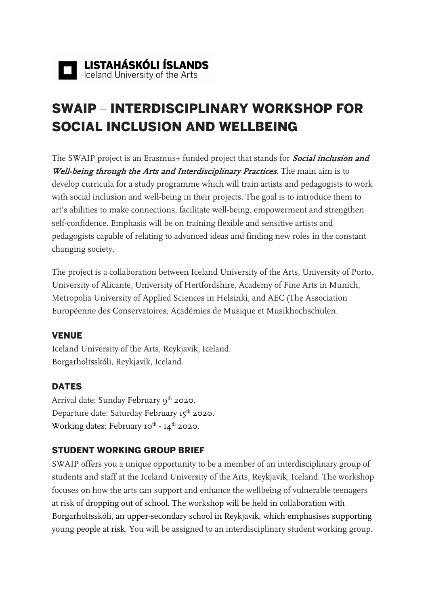# SWAIP – INTERDISCIPLINARY WORKSHOP FOR SOCIAL INCLUSION AND WELLBEING

The SWAIP project is an Erasmus+ funded project that stands for **Social inclusion and** Well-being through the Arts and Interdisciplinary Practices. The main aim is to develop curricula for a study programme which will train artists and pedagogists to work with social inclusion and well-being in their projects. The goal is to introduce them to art's abilities to make connections, facilitate well-being, empowerment and strengthen self-confidence. Emphasis will be on training flexible and sensitive artists and pedagogists capable of relating to advanced ideas and finding new roles in the constant changing society.

The project is a collaboration between Iceland University of the Arts, University of Porto, University of Alicante, University of Hertfordshire, Academy of Fine Arts in Munich, Metropolia University of Applied Sciences in Helsinki, and AEC (The Association Européenne des Conservatoires, Académies de Musique et Musikhochschulen.

### VENUE

Iceland University of the Arts, Reykjavik, Iceland. Borgarholtsskóli, Reykjavik, Iceland.

### DATES

Arrival date: Sunday February 9<sup>th</sup> 2020. Departure date: Saturday February 15<sup>th</sup> 2020. Working dates: February 10<sup>th</sup> - 14<sup>th</sup> 2020.

### STUDENT WORKING GROUP BRIEF

SWAIP offers you a unique opportunity to be a member of an interdisciplinary group of students and staff at the Iceland University of the Arts, Reykjavik, Iceland. The workshop focuses on how the arts can support and enhance the wellbeing of vulnerable teenagers at risk of dropping out of school. The workshop will be held in collaboration with Borgarholtsskóli, an upper-secondary school in Reykjavik, which emphasises supporting young people at risk. You will be assigned to an interdisciplinary student working group.